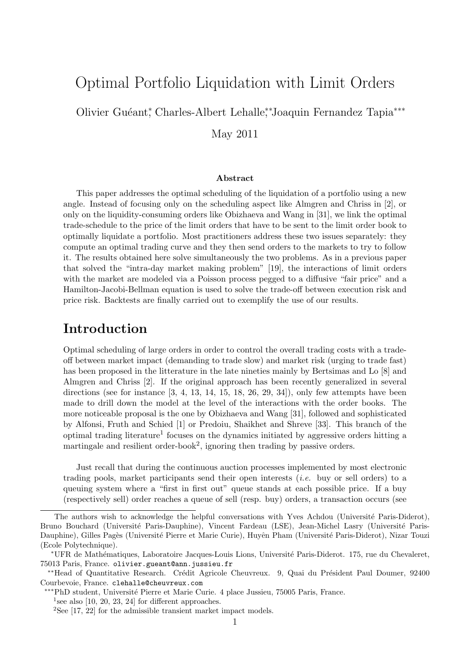# Optimal Portfolio Liquidation with Limit Orders

Olivier Gu´eant*<sup>∗</sup>* , Charles-Albert Lehalle*∗∗*, Joaquin Fernandez Tapia*∗∗∗*

May 2011

#### **Abstract**

This paper addresses the optimal scheduling of the liquidation of a portfolio using a new angle. Instead of focusing only on the scheduling aspect like Almgren and Chriss in [2], or only on the liquidity-consuming orders like Obizhaeva and Wang in [31], we link the optimal trade-schedule to the price of the limit orders that have to be sent to the limit order book to optimally liquidate a portfolio. Most practitioners address these two issues separately: they compute an optimal trading curve and they then send orders to the markets to try to follow it. The results obtained here solve simultaneously the two problems. As in a previous paper that solved the "intra-day market making problem" [19], the interactions of limit orders with the market are modeled via a Poisson process pegged to a diffusive "fair price" and a Hamilton-Jacobi-Bellman equation is used to solve the trade-off between execution risk and price risk. Backtests are finally carried out to exemplify the use of our results.

## **Introduction**

Optimal scheduling of large orders in order to control the overall trading costs with a tradeoff between market impact (demanding to trade slow) and market risk (urging to trade fast) has been proposed in the litterature in the late nineties mainly by Bertsimas and Lo [8] and Almgren and Chriss [2]. If the original approach has been recently generalized in several directions (see for instance  $[3, 4, 13, 14, 15, 18, 26, 29, 34]$ ), only few attempts have been made to drill down the model at the level of the interactions with the order books. The more noticeable proposal is the one by Obizhaeva and Wang [31], followed and sophisticated by Alfonsi, Fruth and Schied [1] or Predoiu, Shaikhet and Shreve [33]. This branch of the optimal trading literature<sup>1</sup> focuses on the dynamics initiated by aggressive orders hitting a martingale and resilient order-book<sup>2</sup>, ignoring then trading by passive orders.

Just recall that during the continuous auction processes implemented by most electronic trading pools, market participants send their open interests (*i.e.* buy or sell orders) to a queuing system where a "first in first out" queue stands at each possible price. If a buy (respectively sell) order reaches a queue of sell (resp. buy) orders, a transaction occurs (see

The authors wish to acknowledge the helpful conversations with Yves Achdou (Université Paris-Diderot), Bruno Bouchard (Université Paris-Dauphine), Vincent Fardeau (LSE), Jean-Michel Lasry (Université Paris-Dauphine), Gilles Pagès (Université Pierre et Marie Curie), Huyên Pham (Université Paris-Diderot), Nizar Touzi (Ecole Polytechnique).

*<sup>\*</sup>*UFR de Mathématiques, Laboratoire Jacques-Louis Lions, Université Paris-Diderot. 175, rue du Chevaleret, 75013 Paris, France. olivier.gueant@ann.jussieu.fr

<sup>&</sup>lt;sup>\*</sup>\*Head of Quantitative Research. Crédit Agricole Cheuvreux. 9, Quai du Président Paul Doumer, 92400 Courbevoie, France. clehalle@cheuvreux.com

*<sup>∗∗∗</sup>*PhD student, Universit´e Pierre et Marie Curie. 4 place Jussieu, 75005 Paris, France.

<sup>&</sup>lt;sup>1</sup> see also  $[10, 20, 23, 24]$  for different approaches.

 $2$ See [17, 22] for the admissible transient market impact models.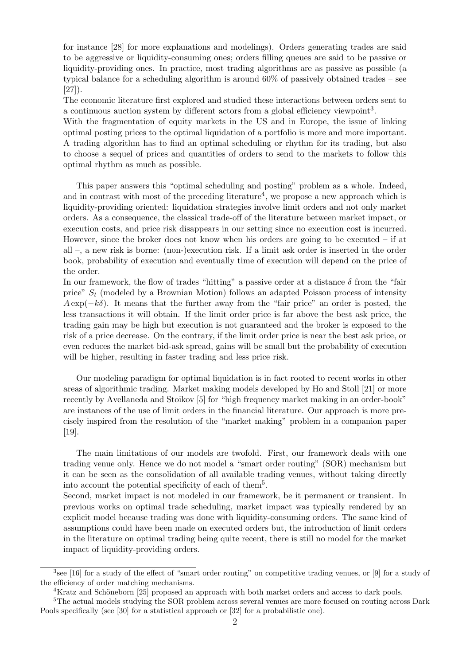for instance [28] for more explanations and modelings). Orders generating trades are said to be aggressive or liquidity-consuming ones; orders filling queues are said to be passive or liquidity-providing ones. In practice, most trading algorithms are as passive as possible (a typical balance for a scheduling algorithm is around 60% of passively obtained trades – see [27]).

The economic literature first explored and studied these interactions between orders sent to a continuous auction system by different actors from a global efficiency viewpoint<sup>3</sup>.

With the fragmentation of equity markets in the US and in Europe, the issue of linking optimal posting prices to the optimal liquidation of a portfolio is more and more important. A trading algorithm has to find an optimal scheduling or rhythm for its trading, but also to choose a sequel of prices and quantities of orders to send to the markets to follow this optimal rhythm as much as possible.

This paper answers this "optimal scheduling and posting" problem as a whole. Indeed, and in contrast with most of the preceding literature<sup>4</sup>, we propose a new approach which is liquidity-providing oriented: liquidation strategies involve limit orders and not only market orders. As a consequence, the classical trade-off of the literature between market impact, or execution costs, and price risk disappears in our setting since no execution cost is incurred. However, since the broker does not know when his orders are going to be executed – if at all –, a new risk is borne: (non-)execution risk. If a limit ask order is inserted in the order book, probability of execution and eventually time of execution will depend on the price of the order.

In our framework, the flow of trades "hitting" a passive order at a distance  $\delta$  from the "fair price" *S<sup>t</sup>* (modeled by a Brownian Motion) follows an adapted Poisson process of intensity *A* exp(*−kδ*). It means that the further away from the "fair price" an order is posted, the less transactions it will obtain. If the limit order price is far above the best ask price, the trading gain may be high but execution is not guaranteed and the broker is exposed to the risk of a price decrease. On the contrary, if the limit order price is near the best ask price, or even reduces the market bid-ask spread, gains will be small but the probability of execution will be higher, resulting in faster trading and less price risk.

Our modeling paradigm for optimal liquidation is in fact rooted to recent works in other areas of algorithmic trading. Market making models developed by Ho and Stoll [21] or more recently by Avellaneda and Stoikov [5] for "high frequency market making in an order-book" are instances of the use of limit orders in the financial literature. Our approach is more precisely inspired from the resolution of the "market making" problem in a companion paper [19].

The main limitations of our models are twofold. First, our framework deals with one trading venue only. Hence we do not model a "smart order routing" (SOR) mechanism but it can be seen as the consolidation of all available trading venues, without taking directly into account the potential specificity of each of them<sup>5</sup>.

Second, market impact is not modeled in our framework, be it permanent or transient. In previous works on optimal trade scheduling, market impact was typically rendered by an explicit model because trading was done with liquidity-consuming orders. The same kind of assumptions could have been made on executed orders but, the introduction of limit orders in the literature on optimal trading being quite recent, there is still no model for the market impact of liquidity-providing orders.

 $3$ see [16] for a study of the effect of "smart order routing" on competitive trading venues, or [9] for a study of the efficiency of order matching mechanisms.

<sup>&</sup>lt;sup>4</sup>Kratz and Schöneborn [25] proposed an approach with both market orders and access to dark pools.

<sup>5</sup>The actual models studying the SOR problem across several venues are more focused on routing across Dark Pools specifically (see [30] for a statistical approach or [32] for a probabilistic one).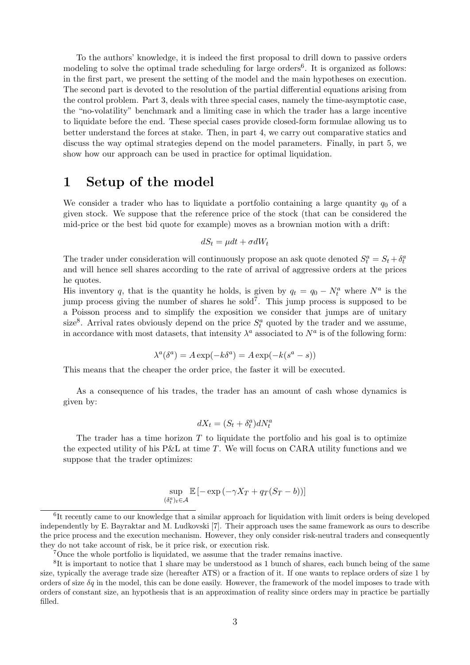To the authors' knowledge, it is indeed the first proposal to drill down to passive orders modeling to solve the optimal trade scheduling for large orders<sup>6</sup>. It is organized as follows: in the first part, we present the setting of the model and the main hypotheses on execution. The second part is devoted to the resolution of the partial differential equations arising from the control problem. Part 3, deals with three special cases, namely the time-asymptotic case, the "no-volatility" benchmark and a limiting case in which the trader has a large incentive to liquidate before the end. These special cases provide closed-form formulae allowing us to better understand the forces at stake. Then, in part 4, we carry out comparative statics and discuss the way optimal strategies depend on the model parameters. Finally, in part 5, we show how our approach can be used in practice for optimal liquidation.

## **1 Setup of the model**

We consider a trader who has to liquidate a portfolio containing a large quantity  $q_0$  of a given stock. We suppose that the reference price of the stock (that can be considered the mid-price or the best bid quote for example) moves as a brownian motion with a drift:

$$
dS_t = \mu dt + \sigma dW_t
$$

The trader under consideration will continuously propose an ask quote denoted  $S_t^a = S_t + \delta_t^a$ and will hence sell shares according to the rate of arrival of aggressive orders at the prices he quotes.

His inventory *q*, that is the quantity he holds, is given by  $q_t = q_0 - N_t^a$  where  $N^a$  is the jump process giving the number of shares he sold<sup>7</sup>. This jump process is supposed to be a Poisson process and to simplify the exposition we consider that jumps are of unitary size<sup>8</sup>. Arrival rates obviously depend on the price  $S_t^a$  quoted by the trader and we assume, in accordance with most datasets, that intensity  $\lambda^a$  associated to  $N^a$  is of the following form:

$$
\lambda^a(\delta^a)=A\exp(-k\delta^a)=A\exp(-k(s^a-s))
$$

This means that the cheaper the order price, the faster it will be executed.

As a consequence of his trades, the trader has an amount of cash whose dynamics is given by:

$$
dX_t = (S_t + \delta_t^a)dN_t^a
$$

The trader has a time horizon *T* to liquidate the portfolio and his goal is to optimize the expected utility of his P&L at time *T*. We will focus on CARA utility functions and we suppose that the trader optimizes:

$$
\sup_{(\delta_t^a)_t \in \mathcal{A}} \mathbb{E}\left[-\exp\left(-\gamma X_T + q_T(S_T - b)\right)\right]
$$

<sup>&</sup>lt;sup>6</sup>It recently came to our knowledge that a similar approach for liquidation with limit orders is being developed independently by E. Bayraktar and M. Ludkovski [7]. Their approach uses the same framework as ours to describe the price process and the execution mechanism. However, they only consider risk-neutral traders and consequently they do not take account of risk, be it price risk, or execution risk.

<sup>7</sup>Once the whole portfolio is liquidated, we assume that the trader remains inactive.

<sup>&</sup>lt;sup>8</sup>It is important to notice that 1 share may be understood as 1 bunch of shares, each bunch being of the same size, typically the average trade size (hereafter ATS) or a fraction of it. If one wants to replace orders of size 1 by orders of size  $\delta q$  in the model, this can be done easily. However, the framework of the model imposes to trade with orders of constant size, an hypothesis that is an approximation of reality since orders may in practice be partially filled.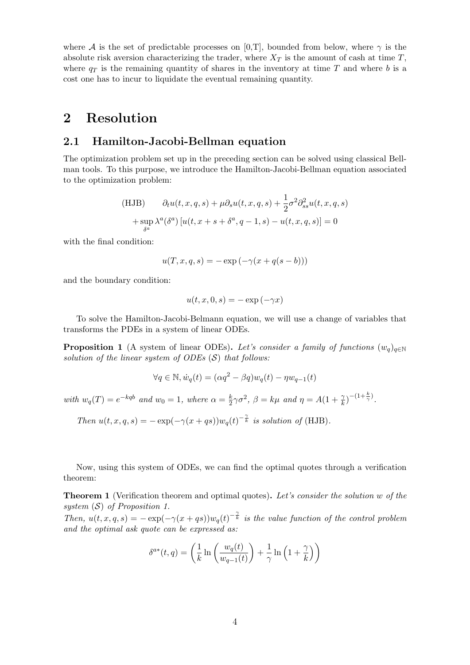where *A* is the set of predictable processes on [0,T], bounded from below, where  $\gamma$  is the absolute risk aversion characterizing the trader, where  $X_T$  is the amount of cash at time  $T$ , where  $q<sub>T</sub>$  is the remaining quantity of shares in the inventory at time  $T$  and where  $b$  is a cost one has to incur to liquidate the eventual remaining quantity.

## **2 Resolution**

### **2.1 Hamilton-Jacobi-Bellman equation**

The optimization problem set up in the preceding section can be solved using classical Bellman tools. To this purpose, we introduce the Hamilton-Jacobi-Bellman equation associated to the optimization problem:

(HJB) 
$$
\partial_t u(t, x, q, s) + \mu \partial_s u(t, x, q, s) + \frac{1}{2} \sigma^2 \partial_{ss}^2 u(t, x, q, s)
$$

$$
+ \sup_{\delta^a} \lambda^a (\delta^a) [u(t, x + s + \delta^a, q - 1, s) - u(t, x, q, s)] = 0
$$

with the final condition:

$$
u(T, x, q, s) = -\exp\left(-\gamma(x + q(s - b))\right)
$$

and the boundary condition:

$$
u(t, x, 0, s) = -\exp(-\gamma x)
$$

To solve the Hamilton-Jacobi-Belmann equation, we will use a change of variables that transforms the PDEs in a system of linear ODEs.

**Proposition 1** (A system of linear ODEs). Let's consider a family of functions  $(w_q)_{q \in \mathbb{N}}$ *solution of the linear system of ODEs* (*S*) *that follows:*

$$
\forall q \in \mathbb{N}, \dot{w}_q(t) = (\alpha q^2 - \beta q)w_q(t) - \eta w_{q-1}(t)
$$

*with*  $w_q(T) = e^{-kqb}$  *and*  $w_0 = 1$ *, where*  $\alpha = \frac{k}{2}$  $\frac{k}{2}\gamma\sigma^2$ ,  $\beta = k\mu$  *and*  $\eta = A(1 + \frac{\gamma}{k})^{-(1 + \frac{k}{\gamma})}$ .

Then 
$$
u(t, x, q, s) = -\exp(-\gamma(x+qs))w_q(t)^{-\frac{\gamma}{k}}
$$
 is solution of (HJB).

Now, using this system of ODEs, we can find the optimal quotes through a verification theorem:

**Theorem 1** (Verification theorem and optimal quotes)**.** *Let's consider the solution w of the system* (*S*) *of Proposition 1.*

*Then,*  $u(t, x, q, s) = -\exp(-\gamma(x+qs))w_q(t)^{-\frac{\gamma}{k}}$  *is the value function of the control problem and the optimal ask quote can be expressed as:*

$$
\delta^{a*}(t,q) = \left(\frac{1}{k}\ln\left(\frac{w_q(t)}{w_{q-1}(t)}\right) + \frac{1}{\gamma}\ln\left(1+\frac{\gamma}{k}\right)\right)
$$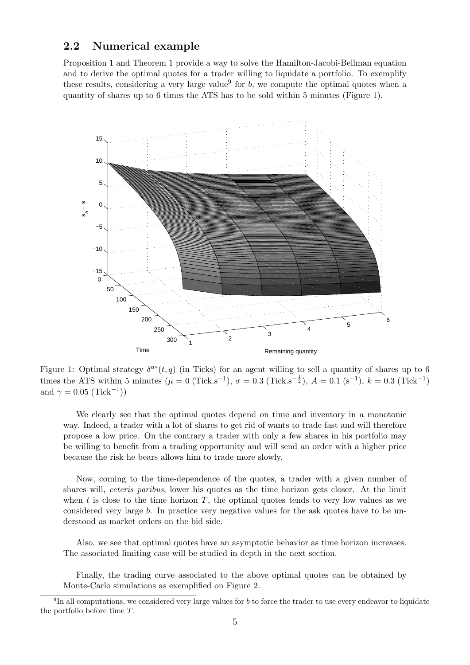### **2.2 Numerical example**

Proposition 1 and Theorem 1 provide a way to solve the Hamilton-Jacobi-Bellman equation and to derive the optimal quotes for a trader willing to liquidate a portfolio. To exemplify these results, considering a very large value<sup>9</sup> for *b*, we compute the optimal quotes when a quantity of shares up to 6 times the ATS has to be sold within 5 minutes (Figure 1).



Figure 1: Optimal strategy  $\delta^{a*}(t,q)$  (in Ticks) for an agent willing to sell a quantity of shares up to 6 times the ATS within 5 minutes ( $\mu = 0$  (Tick.s<sup>-1</sup>),  $\sigma = 0.3$  (Tick.s<sup>-1</sup>),  $A = 0.1$  (s<sup>-1</sup>),  $k = 0.3$  (Tick<sup>-1</sup>) and  $\gamma = 0.05 \, (\text{Tick}^{-1})$ 

We clearly see that the optimal quotes depend on time and inventory in a monotonic way. Indeed, a trader with a lot of shares to get rid of wants to trade fast and will therefore propose a low price. On the contrary a trader with only a few shares in his portfolio may be willing to benefit from a trading opportunity and will send an order with a higher price because the risk he bears allows him to trade more slowly.

Now, coming to the time-dependence of the quotes, a trader with a given number of shares will, *ceteris paribus*, lower his quotes as the time horizon gets closer. At the limit when  $t$  is close to the time horizon  $T$ , the optimal quotes tends to very low values as we considered very large *b*. In practice very negative values for the ask quotes have to be understood as market orders on the bid side.

Also, we see that optimal quotes have an asymptotic behavior as time horizon increases. The associated limiting case will be studied in depth in the next section.

Finally, the trading curve associated to the above optimal quotes can be obtained by Monte-Carlo simulations as exemplified on Figure 2.

<sup>&</sup>lt;sup>9</sup>In all computations, we considered very large values for *b* to force the trader to use every endeavor to liquidate the portfolio before time *T*.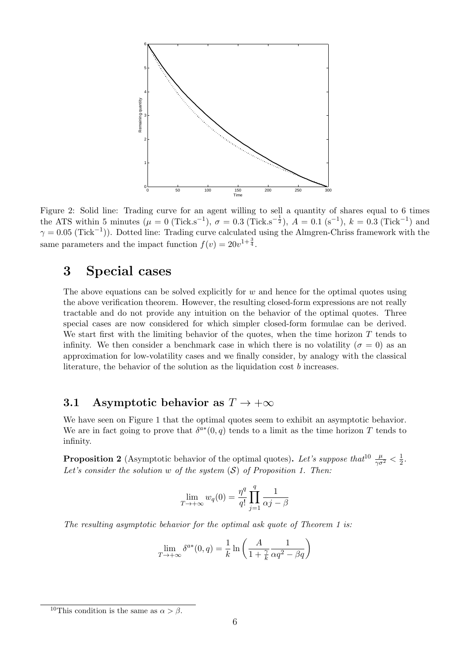

Figure 2: Solid line: Trading curve for an agent willing to sell a quantity of shares equal to 6 times the ATS within 5 minutes  $(\mu = 0 \text{ (Tick.s}^{-1}), \sigma = 0.3 \text{ (Tick.s}^{-\frac{1}{2}}), A = 0.1 \text{ (s}^{-1}), k = 0.3 \text{ (Tick}^{-1})$  and  $\gamma = 0.05 \, (\text{Tick}^{-1})$ ). Dotted line: Trading curve calculated using the Almgren-Chriss framework with the same parameters and the impact function  $f(v) = 20v^{1+\frac{3}{4}}$ .

# **3 Special cases**

The above equations can be solved explicitly for *w* and hence for the optimal quotes using the above verification theorem. However, the resulting closed-form expressions are not really tractable and do not provide any intuition on the behavior of the optimal quotes. Three special cases are now considered for which simpler closed-form formulae can be derived. We start first with the limiting behavior of the quotes, when the time horizon *T* tends to infinity. We then consider a benchmark case in which there is no volatility ( $\sigma = 0$ ) as an approximation for low-volatility cases and we finally consider, by analogy with the classical literature, the behavior of the solution as the liquidation cost *b* increases.

## **3.1** Asymptotic behavior as  $T \rightarrow +\infty$

We have seen on Figure 1 that the optimal quotes seem to exhibit an asymptotic behavior. We are in fact going to prove that  $\delta^{a*}(0, q)$  tends to a limit as the time horizon T tends to infinity.

**Proposition 2** (Asymptotic behavior of the optimal quotes). Let's suppose that  $\frac{\mu}{\gamma \sigma^2} < \frac{1}{2}$  $\frac{1}{2}$ . *Let's consider the solution w of the system* (*S*) *of Proposition 1. Then:*

$$
\lim_{T \to +\infty} w_q(0) = \frac{\eta^q}{q!} \prod_{j=1}^q \frac{1}{\alpha j - \beta}
$$

*The resulting asymptotic behavior for the optimal ask quote of Theorem 1 is:*

$$
\lim_{T \to +\infty} \delta^{a*}(0, q) = \frac{1}{k} \ln \left( \frac{A}{1 + \frac{\gamma}{k}} \frac{1}{\alpha q^2 - \beta q} \right)
$$

<sup>&</sup>lt;sup>10</sup>This condition is the same as  $\alpha > \beta$ .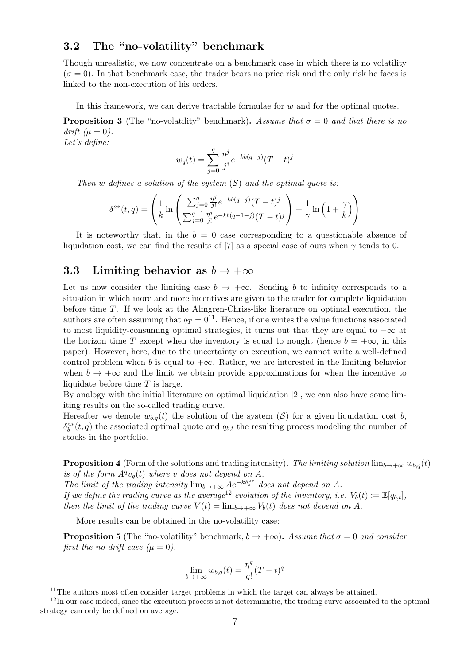### **3.2 The "no-volatility" benchmark**

Though unrealistic, we now concentrate on a benchmark case in which there is no volatility  $(\sigma = 0)$ . In that benchmark case, the trader bears no price risk and the only risk he faces is linked to the non-execution of his orders.

In this framework, we can derive tractable formulae for *w* and for the optimal quotes.

**Proposition 3** (The "no-volatility" benchmark). Assume that  $\sigma = 0$  and that there is no  $drift \ (\mu = 0).$ *Let's define:*

$$
w_q(t) = \sum_{j=0}^{q} \frac{\eta^j}{j!} e^{-kb(q-j)} (T-t)^j
$$

*Then w defines a solution of the system* (*S*) *and the optimal quote is:*

$$
\delta^{a*}(t,q) = \left(\frac{1}{k} \ln \left( \frac{\sum_{j=0}^{q} \frac{\eta^{j}}{j!} e^{-kb(q-j)} (T-t)^{j}}{\sum_{j=0}^{q-1} \frac{\eta^{j}}{j!} e^{-kb(q-1-j)} (T-t)^{j}} \right) + \frac{1}{\gamma} \ln \left( 1 + \frac{\gamma}{k} \right) \right)
$$

It is noteworthy that, in the  $b = 0$  case corresponding to a questionable absence of liquidation cost, we can find the results of [7] as a special case of ours when  $\gamma$  tends to 0.

### **3.3** Limiting behavior as  $b \rightarrow +\infty$

Let us now consider the limiting case  $b \to +\infty$ . Sending *b* to infinity corresponds to a situation in which more and more incentives are given to the trader for complete liquidation before time *T*. If we look at the Almgren-Chriss-like literature on optimal execution, the authors are often assuming that  $q_T = 0^{11}$ . Hence, if one writes the value functions associated to most liquidity-consuming optimal strategies, it turns out that they are equal to *−∞* at the horizon time *T* except when the inventory is equal to nought (hence  $b = +\infty$ , in this paper). However, here, due to the uncertainty on execution, we cannot write a well-defined control problem when *b* is equal to  $+\infty$ . Rather, we are interested in the limiting behavior when  $b \to +\infty$  and the limit we obtain provide approximations for when the incentive to liquidate before time *T* is large.

By analogy with the initial literature on optimal liquidation [2], we can also have some limiting results on the so-called trading curve.

Hereafter we denote  $w_{b,q}(t)$  the solution of the system  $(S)$  for a given liquidation cost *b*,  $\delta_b^{a*}(t, q)$  the associated optimal quote and  $q_{b,t}$  the resulting process modeling the number of stocks in the portfolio.

**Proposition 4** (Form of the solutions and trading intensity). The limiting solution  $\lim_{b\to+\infty} w_{b,q}(t)$ *is of the form*  $A^q v_q(t)$  *where v does not depend on A*.

*The limit of the trading intensity*  $\lim_{b\to+\infty} Ae^{-k\delta_b^{a*}}$  *does not depend on A*. *If we define the trading curve as the average*<sup>12</sup> *evolution of the inventory, i.e.*  $V_b(t) := \mathbb{E}[q_{b,t}]$ , *then the limit of the trading curve*  $V(t) = \lim_{b \to +\infty} V_b(t)$  *does not depend on A*.

More results can be obtained in the no-volatility case:

**Proposition 5** (The "no-volatility" benchmark,  $b \rightarrow +\infty$ ). Assume that  $\sigma = 0$  and consider *first the no-drift case*  $(\mu = 0)$ .

$$
\lim_{b \to +\infty} w_{b,q}(t) = \frac{\eta^q}{q!} (T - t)^q
$$

 $11$ The authors most often consider target problems in which the target can always be attained.

<sup>&</sup>lt;sup>12</sup>In our case indeed, since the execution process is not deterministic, the trading curve associated to the optimal strategy can only be defined on average.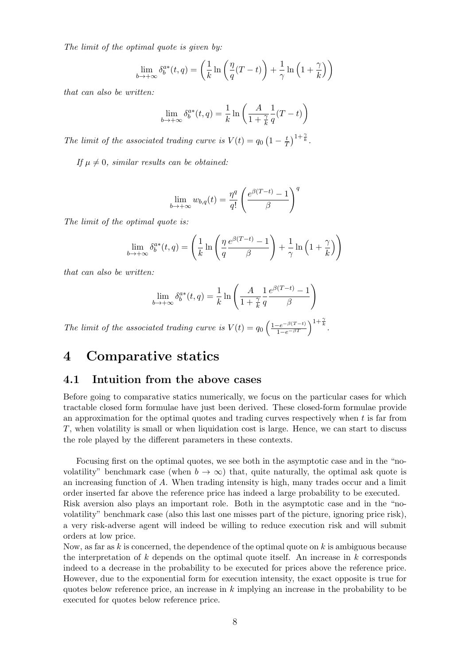*The limit of the optimal quote is given by:*

$$
\lim_{b \to +\infty} \delta_b^{a*}(t, q) = \left(\frac{1}{k} \ln \left(\frac{\eta}{q}(T-t)\right) + \frac{1}{\gamma} \ln \left(1 + \frac{\gamma}{k}\right)\right)
$$

*that can also be written:*

$$
\lim_{b \to +\infty} \delta_b^{a*}(t, q) = \frac{1}{k} \ln \left( \frac{A}{1 + \frac{\gamma}{k}} \frac{1}{q} (T - t) \right)
$$

*The limit of the associated trading curve is*  $V(t) = q_0 \left(1 - \frac{t}{T}\right)$  $(\frac{t}{T})^{1+\frac{\gamma}{k}}$ .

*If*  $\mu \neq 0$ *, similar results can be obtained:* 

$$
\lim_{b \to +\infty} w_{b,q}(t) = \frac{\eta^q}{q!} \left( \frac{e^{\beta(T-t)} - 1}{\beta} \right)^q
$$

*The limit of the optimal quote is:*

$$
\lim_{b \to +\infty} \delta_b^{a*}(t, q) = \left(\frac{1}{k} \ln \left(\frac{\eta}{q} \frac{e^{\beta(T-t)} - 1}{\beta}\right) + \frac{1}{\gamma} \ln \left(1 + \frac{\gamma}{k}\right)\right)
$$

*that can also be written:*

$$
\lim_{b \to +\infty} \delta_b^{a*}(t, q) = \frac{1}{k} \ln \left( \frac{A}{1 + \frac{\gamma}{k}} \frac{1}{q} \frac{e^{\beta(T-t)} - 1}{\beta} \right)
$$

*The limit of the associated trading curve is*  $V(t) = q_0 \left( \frac{1 - e^{-\beta(T-t)}}{1 - e^{-\beta T}} \right)^{1 + \frac{\gamma}{k}}$ .

# **4 Comparative statics**

### **4.1 Intuition from the above cases**

Before going to comparative statics numerically, we focus on the particular cases for which tractable closed form formulae have just been derived. These closed-form formulae provide an approximation for the optimal quotes and trading curves respectively when *t* is far from *T*, when volatility is small or when liquidation cost is large. Hence, we can start to discuss the role played by the different parameters in these contexts.

Focusing first on the optimal quotes, we see both in the asymptotic case and in the "novolatility" benchmark case (when  $b \to \infty$ ) that, quite naturally, the optimal ask quote is an increasing function of *A*. When trading intensity is high, many trades occur and a limit order inserted far above the reference price has indeed a large probability to be executed. Risk aversion also plays an important role. Both in the asymptotic case and in the "novolatility" benchmark case (also this last one misses part of the picture, ignoring price risk), a very risk-adverse agent will indeed be willing to reduce execution risk and will submit orders at low price.

Now, as far as *k* is concerned, the dependence of the optimal quote on *k* is ambiguous because the interpretation of *k* depends on the optimal quote itself. An increase in *k* corresponds indeed to a decrease in the probability to be executed for prices above the reference price. However, due to the exponential form for execution intensity, the exact opposite is true for quotes below reference price, an increase in *k* implying an increase in the probability to be executed for quotes below reference price.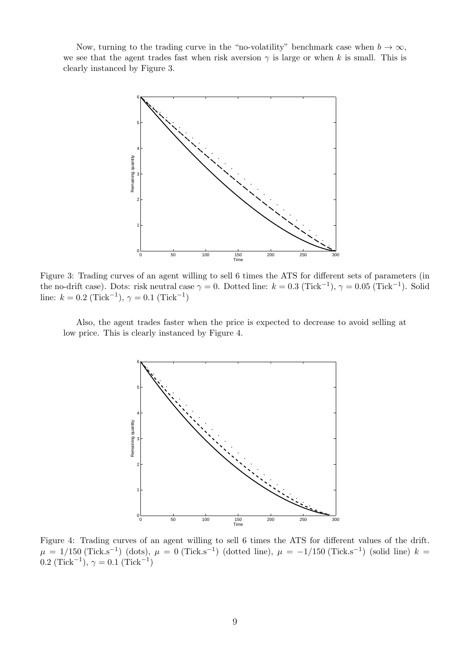Now, turning to the trading curve in the "no-volatility" benchmark case when  $b \to \infty$ , we see that the agent trades fast when risk aversion  $\gamma$  is large or when k is small. This is clearly instanced by Figure 3.



Figure 3: Trading curves of an agent willing to sell 6 times the ATS for different sets of parameters (in the no-drift case). Dots: risk neutral case  $\gamma = 0$ . Dotted line:  $k = 0.3$  (Tick<sup>-1</sup>),  $\gamma = 0.05$  (Tick<sup>-1</sup>). Solid line:  $k = 0.2$  (Tick<sup>-1</sup>),  $\gamma = 0.1$  (Tick<sup>-1</sup>)

Also, the agent trades faster when the price is expected to decrease to avoid selling at low price. This is clearly instanced by Figure 4.



Figure 4: Trading curves of an agent willing to sell 6 times the ATS for different values of the drift.  $\mu = 1/150$  (Tick*s*<sup>-1</sup>) (dots),  $\mu = 0$  (Tick*s*<sup>-1</sup>) (dotted line),  $\mu = -1/150$  (Tick*s*<sup>-1</sup>) (solid line)  $k =$  $0.2 \text{ (Tick}^{-1}), \gamma = 0.1 \text{ (Tick}^{-1})$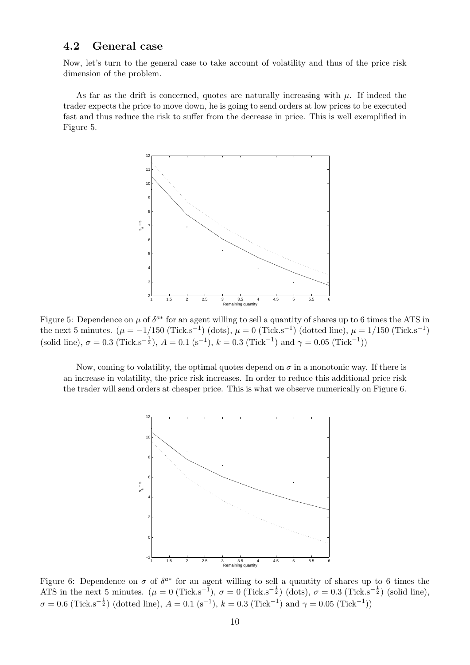### **4.2 General case**

Now, let's turn to the general case to take account of volatility and thus of the price risk dimension of the problem.

As far as the drift is concerned, quotes are naturally increasing with  $\mu$ . If indeed the trader expects the price to move down, he is going to send orders at low prices to be executed fast and thus reduce the risk to suffer from the decrease in price. This is well exemplified in Figure 5.



Figure 5: Dependence on  $\mu$  of  $\delta^{a*}$  for an agent willing to sell a quantity of shares up to 6 times the ATS in the next 5 minutes.  $(\mu = -1/150 \text{ (Tick.s}^{-1}) \text{ (dots)}, \mu = 0 \text{ (Tick.s}^{-1}) \text{ (dotted line)}, \mu = 1/150 \text{ (Tick.s}^{-1})$ (solid line),  $\sigma = 0.3$  (Tick.s<sup>-1</sup>),  $A = 0.1$  (s<sup>-1</sup>),  $k = 0.3$  (Tick<sup>-1</sup>) and  $\gamma = 0.05$  (Tick<sup>-1</sup>))

Now, coming to volatility, the optimal quotes depend on  $\sigma$  in a monotonic way. If there is an increase in volatility, the price risk increases. In order to reduce this additional price risk the trader will send orders at cheaper price. This is what we observe numerically on Figure 6.



Figure 6: Dependence on  $\sigma$  of  $\delta^{a*}$  for an agent willing to sell a quantity of shares up to 6 times the ATS in the next 5 minutes.  $(\mu = 0 \text{ (Tick.s}^{-1}), \sigma = 0 \text{ (Tick.s}^{-\frac{1}{2}}) \text{ (dots)}, \sigma = 0.3 \text{ (Tick.s}^{-\frac{1}{2}}) \text{ (solid line)},$  $\sigma = 0.6$  (Tick.s<sup>-1</sup>/<sub>2</sub>)</sup> (dotted line),  $A = 0.1$  (s<sup>-1</sup>),  $k = 0.3$  (Tick<sup>-1</sup>) and  $\gamma = 0.05$  (Tick<sup>-1</sup>))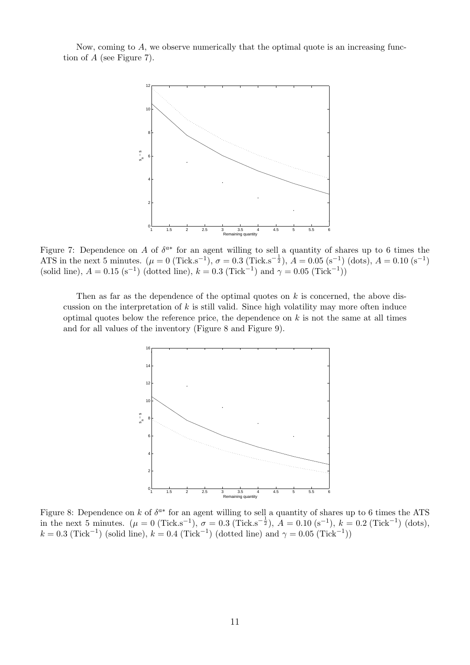Now, coming to *A*, we observe numerically that the optimal quote is an increasing function of *A* (see Figure 7).



Figure 7: Dependence on A of  $\delta^{a*}$  for an agent willing to sell a quantity of shares up to 6 times the ATS in the next 5 minutes.  $(\mu = 0 \text{ (Tick.s}^{-1}), \sigma = 0.3 \text{ (Tick.s}^{-\frac{1}{2}}), A = 0.05 \text{ (s}^{-1}) \text{ (dots)}, A = 0.10 \text{ (s}^{-1})$ (solid line),  $A = 0.15$  (s<sup>-1</sup>)</sub> (dotted line),  $k = 0.3$  (Tick<sup>-1</sup>) and  $\gamma = 0.05$  (Tick<sup>-1</sup>))

Then as far as the dependence of the optimal quotes on *k* is concerned, the above discussion on the interpretation of *k* is still valid. Since high volatility may more often induce optimal quotes below the reference price, the dependence on *k* is not the same at all times and for all values of the inventory (Figure 8 and Figure 9).



Figure 8: Dependence on  $k$  of  $\delta^{a*}$  for an agent willing to sell a quantity of shares up to 6 times the ATS in the next 5 minutes.  $(\mu = 0 \text{ (Tick.s}^{-1}), \sigma = 0.3 \text{ (Tick.s}^{-\frac{1}{2}}), A = 0.10 \text{ (s}^{-1}), k = 0.2 \text{ (Tick}^{-1}) \text{ (dots)},$  $k = 0.3$  (Tick<sup>-1</sup>) (solid line),  $k = 0.4$  (Tick<sup>-1</sup>) (dotted line) and  $\gamma = 0.05$  (Tick<sup>-1</sup>))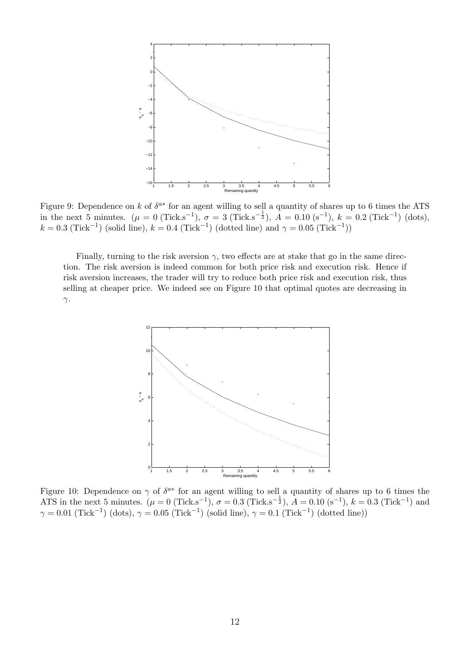

Figure 9: Dependence on  $k$  of  $\delta^{a*}$  for an agent willing to sell a quantity of shares up to 6 times the ATS in the next 5 minutes.  $(\mu = 0 \text{ (Tick.s}^{-1}), \sigma = 3 \text{ (Tick.s}^{-\frac{1}{2}}), A = 0.10 \text{ (s}^{-1}), k = 0.2 \text{ (Tick}^{-1}) \text{ (dots)},$  $k = 0.3$  (Tick<sup>-1</sup>) (solid line),  $k = 0.4$  (Tick<sup>-1</sup>) (dotted line) and  $\gamma = 0.05$  (Tick<sup>-1</sup>))

Finally, turning to the risk aversion  $\gamma$ , two effects are at stake that go in the same direction. The risk aversion is indeed common for both price risk and execution risk. Hence if risk aversion increases, the trader will try to reduce both price risk and execution risk, thus selling at cheaper price. We indeed see on Figure 10 that optimal quotes are decreasing in *γ*.



Figure 10: Dependence on  $\gamma$  of  $\delta^{a*}$  for an agent willing to sell a quantity of shares up to 6 times the ATS in the next 5 minutes.  $(\mu = 0 \text{ (Tick.s}^{-1}), \sigma = 0.3 \text{ (Tick.s}^{-\frac{1}{2}}), A = 0.10 \text{ (s}^{-1}), k = 0.3 \text{ (Tick}^{-1})$  and  $\gamma = 0.01 \text{ (Tick}^{-1}) \text{ (dots)}, \ \gamma = 0.05 \text{ (Tick}^{-1}) \text{ (solid line)}, \ \gamma = 0.1 \text{ (Tick}^{-1}) \text{ (dotted line)}$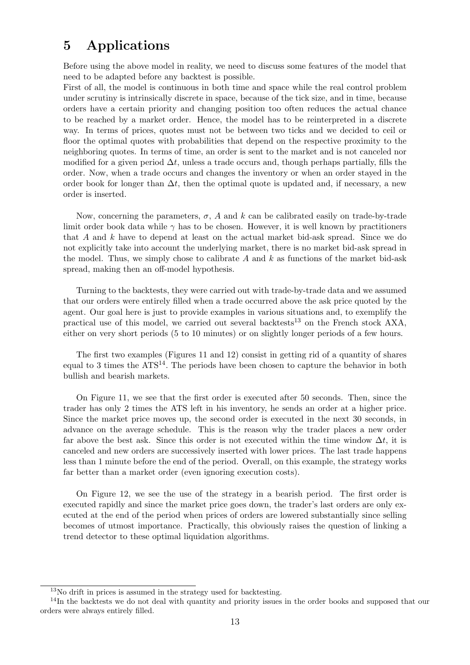## **5 Applications**

Before using the above model in reality, we need to discuss some features of the model that need to be adapted before any backtest is possible.

First of all, the model is continuous in both time and space while the real control problem under scrutiny is intrinsically discrete in space, because of the tick size, and in time, because orders have a certain priority and changing position too often reduces the actual chance to be reached by a market order. Hence, the model has to be reinterpreted in a discrete way. In terms of prices, quotes must not be between two ticks and we decided to ceil or floor the optimal quotes with probabilities that depend on the respective proximity to the neighboring quotes. In terms of time, an order is sent to the market and is not canceled nor modified for a given period  $\Delta t$ , unless a trade occurs and, though perhaps partially, fills the order. Now, when a trade occurs and changes the inventory or when an order stayed in the order book for longer than  $\Delta t$ , then the optimal quote is updated and, if necessary, a new order is inserted.

Now, concerning the parameters,  $\sigma$ ,  $A$  and  $k$  can be calibrated easily on trade-by-trade limit order book data while  $\gamma$  has to be chosen. However, it is well known by practitioners that *A* and *k* have to depend at least on the actual market bid-ask spread. Since we do not explicitly take into account the underlying market, there is no market bid-ask spread in the model. Thus, we simply chose to calibrate *A* and *k* as functions of the market bid-ask spread, making then an off-model hypothesis.

Turning to the backtests, they were carried out with trade-by-trade data and we assumed that our orders were entirely filled when a trade occurred above the ask price quoted by the agent. Our goal here is just to provide examples in various situations and, to exemplify the practical use of this model, we carried out several backtests<sup>13</sup> on the French stock  $AXA$ , either on very short periods (5 to 10 minutes) or on slightly longer periods of a few hours.

The first two examples (Figures 11 and 12) consist in getting rid of a quantity of shares equal to 3 times the  $\text{ATS}^{14}$ . The periods have been chosen to capture the behavior in both bullish and bearish markets.

On Figure 11, we see that the first order is executed after 50 seconds. Then, since the trader has only 2 times the ATS left in his inventory, he sends an order at a higher price. Since the market price moves up, the second order is executed in the next 30 seconds, in advance on the average schedule. This is the reason why the trader places a new order far above the best ask. Since this order is not executed within the time window  $\Delta t$ , it is canceled and new orders are successively inserted with lower prices. The last trade happens less than 1 minute before the end of the period. Overall, on this example, the strategy works far better than a market order (even ignoring execution costs).

On Figure 12, we see the use of the strategy in a bearish period. The first order is executed rapidly and since the market price goes down, the trader's last orders are only executed at the end of the period when prices of orders are lowered substantially since selling becomes of utmost importance. Practically, this obviously raises the question of linking a trend detector to these optimal liquidation algorithms.

<sup>13</sup>No drift in prices is assumed in the strategy used for backtesting.

<sup>&</sup>lt;sup>14</sup>In the backtests we do not deal with quantity and priority issues in the order books and supposed that our orders were always entirely filled.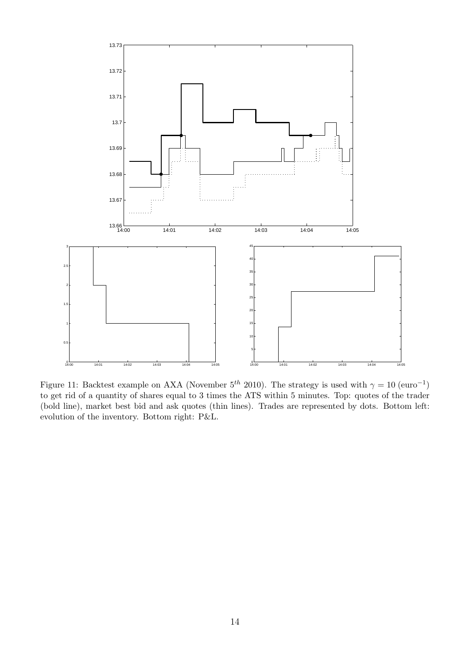

Figure 11: Backtest example on AXA (November  $5^{th}$  2010). The strategy is used with  $\gamma = 10 \text{ (euro}^{-1})$ to get rid of a quantity of shares equal to 3 times the ATS within 5 minutes. Top: quotes of the trader (bold line), market best bid and ask quotes (thin lines). Trades are represented by dots. Bottom left: evolution of the inventory. Bottom right: P&L.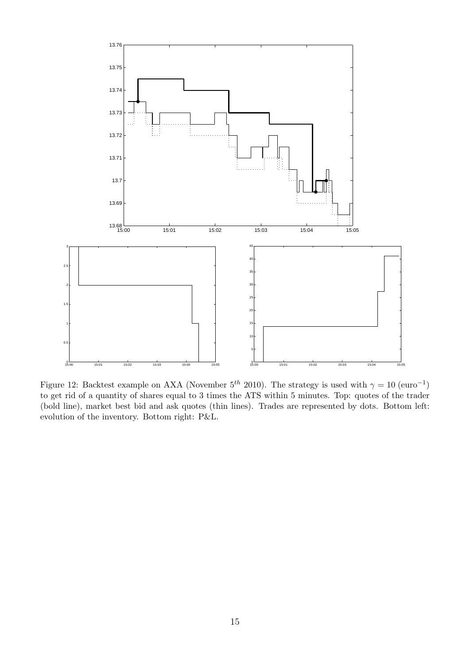

Figure 12: Backtest example on AXA (November  $5^{th}$  2010). The strategy is used with  $\gamma = 10 \text{ (euro}^{-1})$ to get rid of a quantity of shares equal to 3 times the ATS within 5 minutes. Top: quotes of the trader (bold line), market best bid and ask quotes (thin lines). Trades are represented by dots. Bottom left: evolution of the inventory. Bottom right: P&L.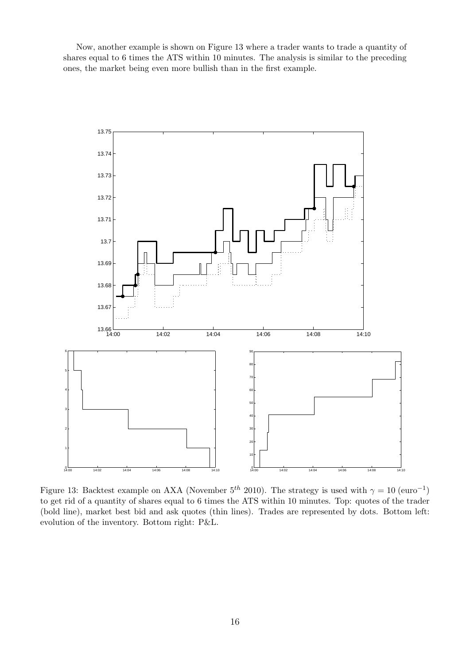Now, another example is shown on Figure 13 where a trader wants to trade a quantity of shares equal to 6 times the ATS within 10 minutes. The analysis is similar to the preceding ones, the market being even more bullish than in the first example.



Figure 13: Backtest example on AXA (November  $5^{th}$  2010). The strategy is used with  $\gamma = 10 \text{ (euro}^{-1})$ to get rid of a quantity of shares equal to 6 times the ATS within 10 minutes. Top: quotes of the trader (bold line), market best bid and ask quotes (thin lines). Trades are represented by dots. Bottom left: evolution of the inventory. Bottom right: P&L.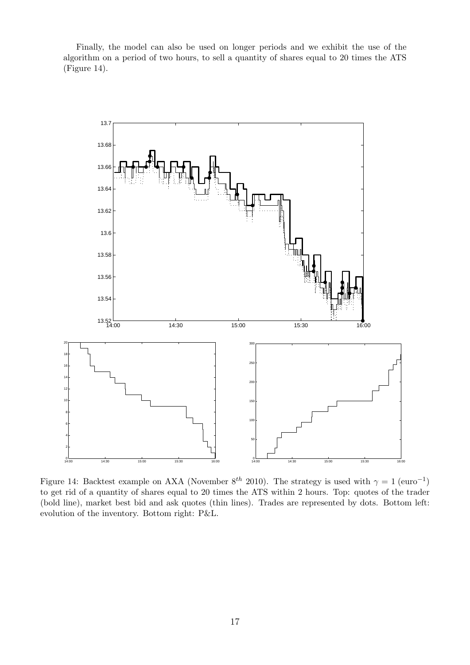Finally, the model can also be used on longer periods and we exhibit the use of the algorithm on a period of two hours, to sell a quantity of shares equal to 20 times the ATS (Figure 14).



Figure 14: Backtest example on AXA (November  $8^{th}$  2010). The strategy is used with  $\gamma = 1 \text{ (euro}^{-1})$ to get rid of a quantity of shares equal to 20 times the ATS within 2 hours. Top: quotes of the trader (bold line), market best bid and ask quotes (thin lines). Trades are represented by dots. Bottom left: evolution of the inventory. Bottom right: P&L.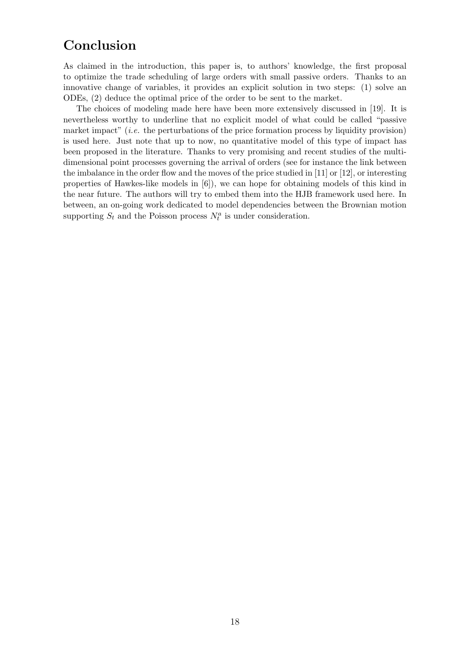# **Conclusion**

As claimed in the introduction, this paper is, to authors' knowledge, the first proposal to optimize the trade scheduling of large orders with small passive orders. Thanks to an innovative change of variables, it provides an explicit solution in two steps: (1) solve an ODEs, (2) deduce the optimal price of the order to be sent to the market.

The choices of modeling made here have been more extensively discussed in [19]. It is nevertheless worthy to underline that no explicit model of what could be called "passive market impact" (*i.e.* the perturbations of the price formation process by liquidity provision) is used here. Just note that up to now, no quantitative model of this type of impact has been proposed in the literature. Thanks to very promising and recent studies of the multidimensional point processes governing the arrival of orders (see for instance the link between the imbalance in the order flow and the moves of the price studied in [11] or [12], or interesting properties of Hawkes-like models in [6]), we can hope for obtaining models of this kind in the near future. The authors will try to embed them into the HJB framework used here. In between, an on-going work dedicated to model dependencies between the Brownian motion supporting  $S_t$  and the Poisson process  $N_t^a$  is under consideration.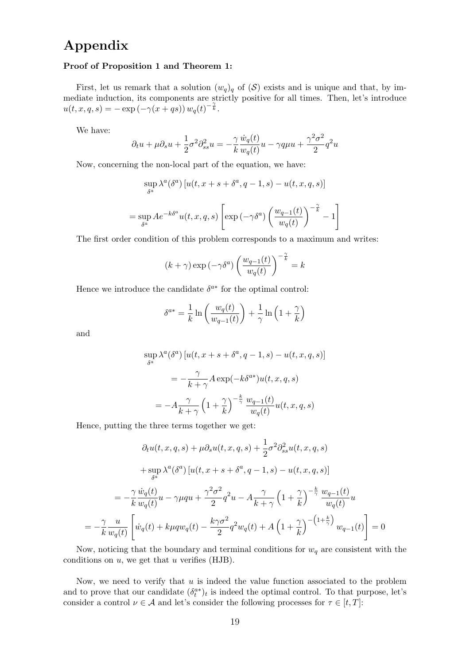# **Appendix**

#### **Proof of Proposition 1 and Theorem 1:**

First, let us remark that a solution  $(w_q)_q$  of  $(S)$  exists and is unique and that, by immediate induction, its components are strictly positive for all times. Then, let's introduce  $u(t, x, q, s) = -\exp(-\gamma(x+qs)) w_q(t)^{-\frac{\gamma}{k}}.$ 

We have:

$$
\partial_t u + \mu \partial_s u + \frac{1}{2} \sigma^2 \partial_{ss}^2 u = -\frac{\gamma}{k} \frac{\dot{w}_q(t)}{w_q(t)} u - \gamma q \mu u + \frac{\gamma^2 \sigma^2}{2} q^2 u
$$

Now, concerning the non-local part of the equation, we have:

$$
\sup_{\delta^a} \lambda^a(\delta^a) \left[ u(t, x + s + \delta^a, q - 1, s) - u(t, x, q, s) \right]
$$
  
= 
$$
\sup_{\delta^a} A e^{-k\delta^a} u(t, x, q, s) \left[ \exp \left( -\gamma \delta^a \right) \left( \frac{w_{q-1}(t)}{w_q(t)} \right)^{-\frac{\gamma}{k}} - 1 \right]
$$

The first order condition of this problem corresponds to a maximum and writes:

$$
(k+\gamma)\exp\left(-\gamma\delta^a\right)\left(\frac{w_{q-1}(t)}{w_q(t)}\right)^{-\frac{\gamma}{k}}=k
$$

Hence we introduce the candidate  $\delta^{a*}$  for the optimal control:

$$
\delta^{a*} = \frac{1}{k} \ln \left( \frac{w_q(t)}{w_{q-1}(t)} \right) + \frac{1}{\gamma} \ln \left( 1 + \frac{\gamma}{k} \right)
$$

and

$$
\sup_{\delta^a} \lambda^a(\delta^a) \left[ u(t, x+s+\delta^a, q-1, s) - u(t, x, q, s) \right]
$$
  
= 
$$
-\frac{\gamma}{k+\gamma} A \exp(-k\delta^{a*}) u(t, x, q, s)
$$
  
= 
$$
-A \frac{\gamma}{k+\gamma} \left( 1 + \frac{\gamma}{k} \right)^{-\frac{k}{\gamma}} \frac{w_{q-1}(t)}{w_q(t)} u(t, x, q, s)
$$

Hence, putting the three terms together we get:

$$
\partial_t u(t, x, q, s) + \mu \partial_s u(t, x, q, s) + \frac{1}{2} \sigma^2 \partial_{ss}^2 u(t, x, q, s)
$$

$$
+ \sup_{\delta^a} \lambda^a (\delta^a) [u(t, x + s + \delta^a, q - 1, s) - u(t, x, q, s)]
$$

$$
= -\frac{\gamma}{k} \frac{\dot{w}_q(t)}{w_q(t)} u - \gamma \mu q u + \frac{\gamma^2 \sigma^2}{2} q^2 u - A \frac{\gamma}{k + \gamma} \left( 1 + \frac{\gamma}{k} \right)^{-\frac{k}{\gamma}} \frac{w_{q-1}(t)}{w_q(t)} u
$$

$$
= -\frac{\gamma}{k} \frac{u}{w_q(t)} \left[ \dot{w}_q(t) + k \mu q w_q(t) - \frac{k \gamma \sigma^2}{2} q^2 w_q(t) + A \left( 1 + \frac{\gamma}{k} \right)^{-\left( 1 + \frac{k}{\gamma} \right)} w_{q-1}(t) \right] = 0
$$

Now, noticing that the boundary and terminal conditions for  $w_q$  are consistent with the conditions on *u*, we get that *u* verifies (HJB).

Now, we need to verify that *u* is indeed the value function associated to the problem and to prove that our candidate  $(\delta_t^{a*})_t$  is indeed the optimal control. To that purpose, let's consider a control  $\nu \in A$  and let's consider the following processes for  $\tau \in [t, T]$ :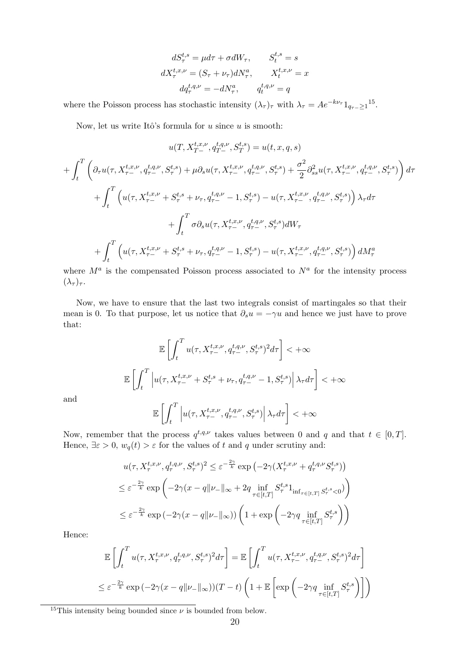$$
dS^{t,s}_{\tau} = \mu d\tau + \sigma dW_{\tau}, \qquad S^{t,s}_{t} = s
$$
  

$$
dX^{t,x,\nu}_{\tau} = (S_{\tau} + \nu_{\tau})dN^{a}_{\tau}, \qquad X^{t,x,\nu}_{t} = x
$$
  

$$
dq^{t,q,\nu}_{\tau} = -dN^{a}_{\tau}, \qquad q^{t,q,\nu}_{t} = q
$$

where the Poisson process has stochastic intensity  $(\lambda_{\tau})_{\tau}$  with  $\lambda_{\tau} = Ae^{-k\nu_{\tau}}1_{q_{\tau}-\geq 1}^{15}$ .

Now, let us write Itô's formula for  $u$  since  $u$  is smooth:

$$
u(T, X_{T-}^{t,x,\nu}, q_{T-}^{t,q,\nu}, S_T^{t,s}) = u(t, x, q, s)
$$
  
+ 
$$
\int_t^T \left( \partial_\tau u(\tau, X_{\tau-}^{t,x,\nu}, q_{\tau-}^{t,q,\nu}, S_\tau^{t,s}) + \mu \partial_s u(\tau, X_{\tau-}^{t,x,\nu}, q_{\tau-}^{t,q,\nu}, S_\tau^{t,s}) + \frac{\sigma^2}{2} \partial_{ss}^2 u(\tau, X_{\tau-}^{t,x,\nu}, q_{\tau-}^{t,q,\nu}, S_\tau^{t,s}) \right) d\tau
$$
  
+ 
$$
\int_t^T \left( u(\tau, X_{\tau-}^{t,x,\nu} + S_\tau^{t,s} + \nu_\tau, q_{\tau-}^{t,q,\nu} - 1, S_\tau^{t,s}) - u(\tau, X_{\tau-}^{t,x,\nu}, q_{\tau-}^{t,q,\nu}, S_\tau^{t,s}) \right) \lambda_\tau d\tau
$$
  
+ 
$$
\int_t^T \sigma \partial_s u(\tau, X_{\tau-}^{t,x,\nu}, q_{\tau-}^{t,q,\nu}, S_\tau^{t,s}) dW_\tau
$$
  
+ 
$$
\int_t^T \left( u(\tau, X_{\tau-}^{t,x,\nu} + S_\tau^{t,s} + \nu_\tau, q_{\tau-}^{t,q,\nu} - 1, S_\tau^{t,s}) - u(\tau, X_{\tau-}^{t,x,\nu}, q_{\tau-}^{t,q,\nu}, S_\tau^{t,s}) \right) dM_\tau^a
$$

where  $M^a$  is the compensated Poisson process associated to  $N^a$  for the intensity process  $(\lambda_\tau)_{\tau}$ .

Now, we have to ensure that the last two integrals consist of martingales so that their mean is 0. To that purpose, let us notice that  $\partial_s u = -\gamma u$  and hence we just have to prove that:

$$
\mathbb{E}\left[\int_t^T u(\tau,X^{t,x,\nu}_{\tau-},q^{t,q,\nu}_{\tau-},S^{t,s}_\tau)^2 d\tau\right]<+\infty
$$
  

$$
\mathbb{E}\left[\int_t^T \left|u(\tau,X^{t,x,\nu}_{\tau-}+S^{t,s}_\tau+\nu_\tau,q^{t,q,\nu}_{\tau-}-1,S^{t,s}_\tau)\right|\lambda_\tau d\tau\right]<+\infty
$$
  

$$
\mathbb{E}\left[\int_t^T \left|u(\tau,X^{t,x,\nu}_{\tau-},q^{t,q,\nu}_{\tau-},S^{t,s}_\tau)\right|\lambda_\tau d\tau\right]<+\infty
$$

and

Now, remember that the process  $q^{t,q,\nu}$  takes values between 0 and *q* and that  $t \in [0,T]$ . Hence,  $\exists \varepsilon > 0$ ,  $w_q(t) > \varepsilon$  for the values of *t* and *q* under scrutiny and:

$$
u(\tau, X_{\tau}^{t,x,\nu}, q_{\tau}^{t,q,\nu}, S_{\tau}^{t,s})^2 \leq \varepsilon^{-\frac{2\gamma}{k}} \exp\left(-2\gamma(X_{\tau}^{t,x,\nu} + q_{\tau}^{t,q,\nu}, S_{\tau}^{t,s})\right)
$$
  

$$
\leq \varepsilon^{-\frac{2\gamma}{k}} \exp\left(-2\gamma(x-q||\nu_{-}||_{\infty} + 2q \inf_{\tau \in [t,T]} S_{\tau}^{t,s} 1_{\inf_{\tau \in [t,T]} S_{\tau}^{t,s} < 0})\right)
$$
  

$$
\leq \varepsilon^{-\frac{2\gamma}{k}} \exp\left(-2\gamma(x-q||\nu_{-}||_{\infty})\right) \left(1 + \exp\left(-2\gamma q \inf_{\tau \in [t,T]} S_{\tau}^{t,s}\right)\right)
$$

Hence:

$$
\mathbb{E}\left[\int_t^T u(\tau, X_\tau^{t,x,\nu}, q_\tau^{t,q,\nu}, S_\tau^{t,s})^2 d\tau\right] = \mathbb{E}\left[\int_t^T u(\tau, X_{\tau-}^{t,x,\nu}, q_{\tau-}^{t,q,\nu}, S_\tau^{t,s})^2 d\tau\right]
$$
  

$$
\leq \varepsilon^{-\frac{2\gamma}{k}} \exp\left(-2\gamma(x-q\|\nu_-\|_\infty)\right)(T-t)\left(1+\mathbb{E}\left[\exp\left(-2\gamma q \inf_{\tau\in[t,T]} S_\tau^{t,s}\right)\right]\right)
$$

<sup>&</sup>lt;sup>15</sup>This intensity being bounded since  $\nu$  is bounded from below.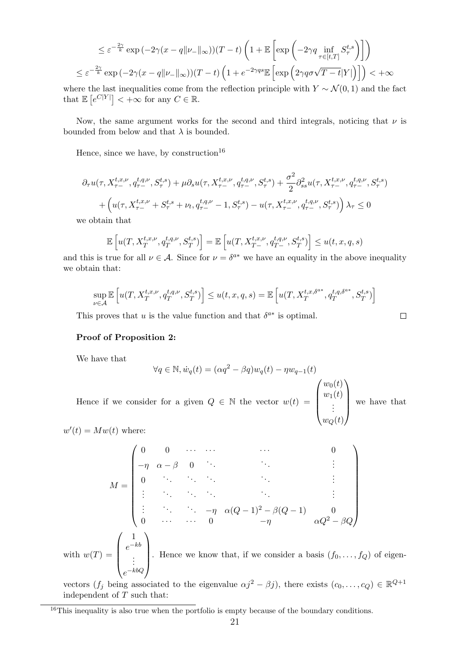$$
\leq \varepsilon^{-\frac{2\gamma}{k}} \exp\left(-2\gamma(x-q\|\nu_{-}\|_{\infty})\right)(T-t) \left(1+\mathbb{E}\left[\exp\left(-2\gamma q \inf_{\tau \in [t,T]} S_{\tau}^{t,s}\right)\right]\right)
$$
  

$$
\leq \varepsilon^{-\frac{2\gamma}{k}} \exp\left(-2\gamma(x-q\|\nu_{-}\|_{\infty})\right)(T-t) \left(1+e^{-2\gamma q s} \mathbb{E}\left[\exp\left(2\gamma q \sigma \sqrt{T-t}|Y|\right)\right]\right) < +\infty
$$

where the last inequalities come from the reflection principle with  $Y \sim \mathcal{N}(0, 1)$  and the fact that  $\mathbb{E}\left[e^{C|Y|}\right] < +\infty$  for any  $C \in \mathbb{R}$ .

Now, the same argument works for the second and third integrals, noticing that  $\nu$  is bounded from below and that  $\lambda$  is bounded.

Hence, since we have, by construction<sup>16</sup>

$$
\partial_{\tau} u(\tau, X_{\tau-}^{t,x,\nu}, q_{\tau-}^{t,q,\nu}, S_{\tau}^{t,s}) + \mu \partial_{s} u(\tau, X_{\tau-}^{t,x,\nu}, q_{\tau-}^{t,q,\nu}, S_{\tau}^{t,s}) + \frac{\sigma^{2}}{2} \partial_{ss}^{2} u(\tau, X_{\tau-}^{t,x,\nu}, q_{\tau-}^{t,q,\nu}, S_{\tau}^{t,s}) + \left( u(\tau, X_{\tau-}^{t,x,\nu} + S_{\tau}^{t,s} + \nu_{t}, q_{\tau-}^{t,q,\nu} - 1, S_{\tau}^{t,s}) - u(\tau, X_{\tau-}^{t,x,\nu}, q_{\tau-}^{t,q,\nu}, S_{\tau}^{t,s}) \right) \lambda_{\tau} \leq 0
$$

we obtain that

$$
\mathbb{E}\left[u(T,X^{t,x,\nu}_T,q^{t,q,\nu}_T,S^{t,s}_T)\right]=\mathbb{E}\left[u(T,X^{t,x,\nu}_{T-},q^{t,q,\nu}_{T-},S^{t,s}_T)\right]\leq u(t,x,q,s)
$$

and this is true for all  $\nu \in A$ . Since for  $\nu = \delta^{a*}$  we have an equality in the above inequality we obtain that:

$$
\sup_{\nu\in\mathcal{A}}\mathbb{E}\left[u(T,X^{t,x,\nu}_T,q^{t,q,\nu}_T,S^{t,s}_T)\right]\leq u(t,x,q,s)=\mathbb{E}\left[u(T,X^{t,x,\delta^{a*}}_T,q^{t,q,\delta^{a*}}_T,S^{t,s}_T)\right]
$$

This proves that *u* is the value function and that  $\delta^{a*}$  is optimal.

$$
\Box
$$

### **Proof of Proposition 2:**

We have that

$$
\forall q \in \mathbb{N}, \dot{w}_q(t) = (\alpha q^2 - \beta q) w_q(t) - \eta w_{q-1}(t)
$$
  
Hence if we consider for a given  $Q \in \mathbb{N}$  the vector  $w(t) = \begin{pmatrix} w_0(t) \\ w_1(t) \\ \vdots \\ w_Q(t) \end{pmatrix}$  we have that

 $w'(t) = Mw(t)$  where:

$$
M = \begin{pmatrix} 0 & 0 & \cdots & \cdots & & \cdots & & 0 \\ -\eta & \alpha - \beta & 0 & \ddots & & & \vdots \\ 0 & \ddots & \ddots & & & \ddots & & \vdots \\ \vdots & & \ddots & \ddots & & & \vdots \\ \vdots & & \ddots & \ddots & -\eta & \alpha(Q-1)^2 - \beta(Q-1) & 0 \\ 0 & \cdots & \cdots & 0 & -\eta & \alpha Q^2 - \beta Q \end{pmatrix}
$$
  
with  $w(T) = \begin{pmatrix} 1 \\ e^{-kb} \\ \vdots \\ e^{-kbQ} \end{pmatrix}$ . Hence we know that, if we consider a basis  $(f_0, \ldots, f_Q)$  of eigen-

vectors (*f<sub>j</sub>* being associated to the eigenvalue  $\alpha j^2 - \beta j$ ), there exists  $(c_0, \ldots, c_Q) \in \mathbb{R}^{Q+1}$ independent of *T* such that:

 $16$ This inequality is also true when the portfolio is empty because of the boundary conditions.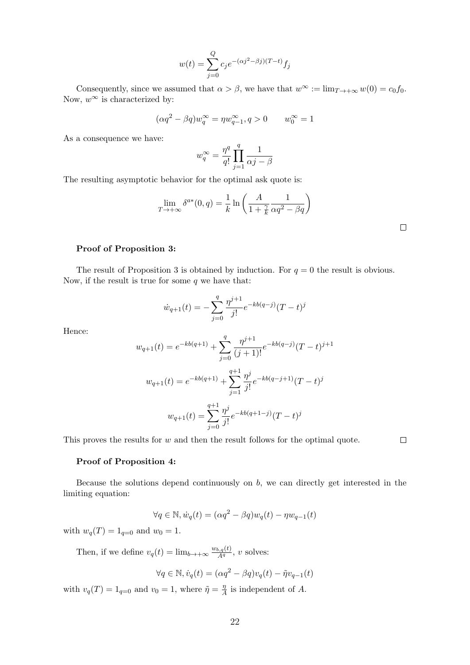$$
w(t) = \sum_{j=0}^{Q} c_j e^{-(\alpha j^2 - \beta j)(T - t)} f_j
$$

Consequently, since we assumed that  $\alpha > \beta$ , we have that  $w^{\infty} := \lim_{T \to +\infty} w(0) = c_0 f_0$ . Now,  $w^{\infty}$  is characterized by:

$$
(\alpha q^2 - \beta q)w_q^{\infty} = \eta w_{q-1}^{\infty}, q > 0 \qquad w_0^{\infty} = 1
$$

As a consequence we have:

$$
w_q^{\infty}=\frac{\eta^q}{q!}\prod_{j=1}^q\frac{1}{\alpha j-\beta}
$$

The resulting asymptotic behavior for the optimal ask quote is:

$$
\lim_{T \to +\infty} \delta^{a*}(0, q) = \frac{1}{k} \ln \left( \frac{A}{1 + \frac{\gamma}{k}} \frac{1}{\alpha q^2 - \beta q} \right)
$$

#### **Proof of Proposition 3:**

The result of Proposition 3 is obtained by induction. For  $q = 0$  the result is obvious. Now, if the result is true for some *q* we have that:

$$
\dot{w}_{q+1}(t) = -\sum_{j=0}^{q} \frac{\eta^{j+1}}{j!} e^{-kb(q-j)} (T-t)^j
$$

Hence:

$$
w_{q+1}(t) = e^{-kb(q+1)} + \sum_{j=0}^{q} \frac{\eta^{j+1}}{(j+1)!} e^{-kb(q-j)} (T-t)^{j+1}
$$

$$
w_{q+1}(t) = e^{-kb(q+1)} + \sum_{j=1}^{q+1} \frac{\eta^{j}}{j!} e^{-kb(q-j+1)} (T-t)^{j}
$$

$$
w_{q+1}(t) = \sum_{j=0}^{q+1} \frac{\eta^{j}}{j!} e^{-kb(q+1-j)} (T-t)^{j}
$$

This proves the results for *w* and then the result follows for the optimal quote.

 $\Box$ 

 $\Box$ 

#### **Proof of Proposition 4:**

Because the solutions depend continuously on *b*, we can directly get interested in the limiting equation:

$$
\forall q \in \mathbb{N}, \dot{w}_q(t) = (\alpha q^2 - \beta q) w_q(t) - \eta w_{q-1}(t)
$$

with  $w_q(T) = 1_{q=0}$  and  $w_0 = 1$ .

Then, if we define  $v_q(t) = \lim_{b \to +\infty} \frac{w_{b,q}(t)}{A^q}$ , *v* solves:

$$
\forall q \in \mathbb{N}, \dot{v}_q(t) = (\alpha q^2 - \beta q)v_q(t) - \tilde{\eta}v_{q-1}(t)
$$

with  $v_q(T) = 1_{q=0}$  and  $v_0 = 1$ , where  $\tilde{\eta} = \frac{\eta}{A}$  $\frac{\eta}{A}$  is independent of *A*.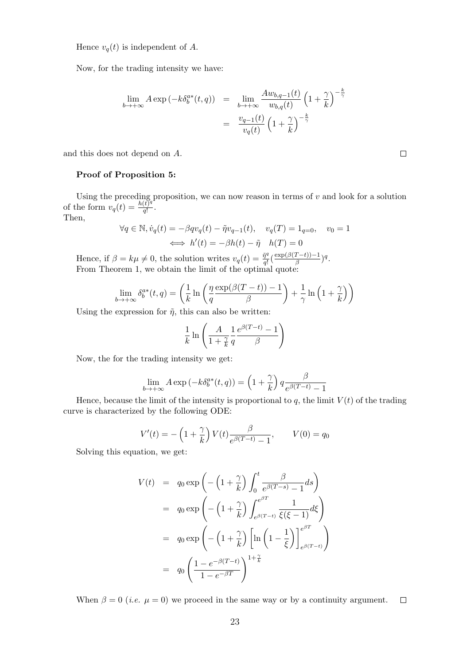Hence  $v_q(t)$  is independent of  $A$ .

Now, for the trading intensity we have:

$$
\lim_{b \to +\infty} A \exp\left(-k\delta_b^{a*}(t, q)\right) = \lim_{b \to +\infty} \frac{A w_{b,q-1}(t)}{w_{b,q}(t)} \left(1 + \frac{\gamma}{k}\right)^{-\frac{k}{\gamma}}
$$

$$
= \frac{v_{q-1}(t)}{v_q(t)} \left(1 + \frac{\gamma}{k}\right)^{-\frac{k}{\gamma}}
$$

and this does not depend on *A*.

#### **Proof of Proposition 5:**

Using the preceding proposition, we can now reason in terms of *v* and look for a solution of the form  $v_q(t) = \frac{h(t)^q}{q!}$  $\frac{(t)^4}{q!}$ .

Then,

$$
\forall q \in \mathbb{N}, \dot{v}_q(t) = -\beta q v_q(t) - \tilde{\eta} v_{q-1}(t), \quad v_q(T) = 1_{q=0}, \quad v_0 = 1
$$
  

$$
\iff h'(t) = -\beta h(t) - \tilde{\eta} \quad h(T) = 0
$$

Hence, if  $\beta = k\mu \neq 0$ , the solution writes  $v_q(t) = \frac{\tilde{\eta}^q}{q!}$  $\frac{\tilde{\eta}^q}{q!} \left( \frac{\exp(\beta(T-t)) - 1}{\beta} \right)^q$ . From Theorem 1, we obtain the limit of the optimal quote:

$$
\lim_{b \to +\infty} \delta_b^{a*}(t, q) = \left(\frac{1}{k} \ln \left(\frac{\eta \exp(\beta(T-t)) - 1}{\beta}\right) + \frac{1}{\gamma} \ln \left(1 + \frac{\gamma}{k}\right)\right)
$$

Using the expression for  $\tilde{\eta}$ , this can also be written:

$$
\frac{1}{k}\ln\left(\frac{A}{1+\frac{\gamma}{k}}\frac{1}{q}\frac{e^{\beta(T-t)}-1}{\beta}\right)
$$

Now, the for the trading intensity we get:

$$
\lim_{b \to +\infty} A \exp(-k\delta_b^{a*}(t, q)) = \left(1 + \frac{\gamma}{k}\right) q \frac{\beta}{e^{\beta(T-t)} - 1}
$$

Hence, because the limit of the intensity is proportional to  $q$ , the limit  $V(t)$  of the trading curve is characterized by the following ODE:

$$
V'(t) = -\left(1 + \frac{\gamma}{k}\right)V(t)\frac{\beta}{e^{\beta(T-t)} - 1}, \qquad V(0) = q_0
$$

Solving this equation, we get:

$$
V(t) = q_0 \exp\left(-\left(1 + \frac{\gamma}{k}\right) \int_0^t \frac{\beta}{e^{\beta(T-s)} - 1} ds\right)
$$
  
\n
$$
= q_0 \exp\left(-\left(1 + \frac{\gamma}{k}\right) \int_{e^{\beta(T-t)}}^{e^{\beta T}} \frac{1}{\xi(\xi - 1)} d\xi\right)
$$
  
\n
$$
= q_0 \exp\left(-\left(1 + \frac{\gamma}{k}\right) \left[\ln\left(1 - \frac{1}{\xi}\right)\right]_{e^{\beta(T-t)}}^{e^{\beta T}}\right)
$$
  
\n
$$
= q_0 \left(\frac{1 - e^{-\beta(T-t)}}{1 - e^{-\beta T}}\right)^{1 + \frac{\gamma}{k}}
$$

When  $\beta = 0$  (*i.e.*  $\mu = 0$ ) we proceed in the same way or by a continuity argument.  $\Box$ 

 $\Box$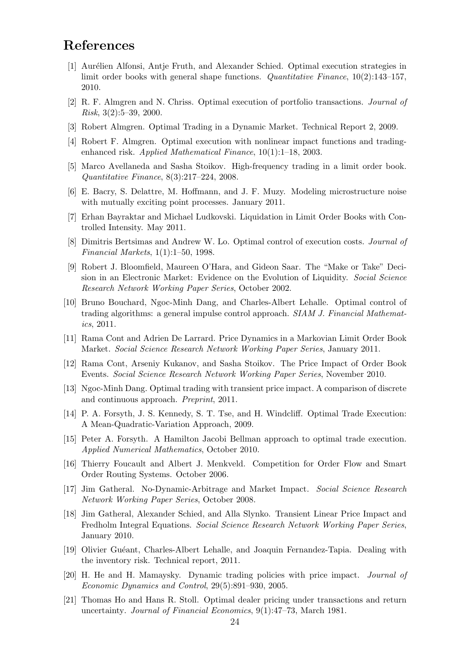# **References**

- [1] Aurélien Alfonsi, Antje Fruth, and Alexander Schied. Optimal execution strategies in limit order books with general shape functions. *Quantitative Finance*, 10(2):143–157, 2010.
- [2] R. F. Almgren and N. Chriss. Optimal execution of portfolio transactions. *Journal of Risk*, 3(2):5–39, 2000.
- [3] Robert Almgren. Optimal Trading in a Dynamic Market. Technical Report 2, 2009.
- [4] Robert F. Almgren. Optimal execution with nonlinear impact functions and tradingenhanced risk. *Applied Mathematical Finance*, 10(1):1–18, 2003.
- [5] Marco Avellaneda and Sasha Stoikov. High-frequency trading in a limit order book. *Quantitative Finance*, 8(3):217–224, 2008.
- [6] E. Bacry, S. Delattre, M. Hoffmann, and J. F. Muzy. Modeling microstructure noise with mutually exciting point processes. January 2011.
- [7] Erhan Bayraktar and Michael Ludkovski. Liquidation in Limit Order Books with Controlled Intensity. May 2011.
- [8] Dimitris Bertsimas and Andrew W. Lo. Optimal control of execution costs. *Journal of Financial Markets*, 1(1):1–50, 1998.
- [9] Robert J. Bloomfield, Maureen O'Hara, and Gideon Saar. The "Make or Take" Decision in an Electronic Market: Evidence on the Evolution of Liquidity. *Social Science Research Network Working Paper Series*, October 2002.
- [10] Bruno Bouchard, Ngoc-Minh Dang, and Charles-Albert Lehalle. Optimal control of trading algorithms: a general impulse control approach. *SIAM J. Financial Mathematics*, 2011.
- [11] Rama Cont and Adrien De Larrard. Price Dynamics in a Markovian Limit Order Book Market. *Social Science Research Network Working Paper Series*, January 2011.
- [12] Rama Cont, Arseniy Kukanov, and Sasha Stoikov. The Price Impact of Order Book Events. *Social Science Research Network Working Paper Series*, November 2010.
- [13] Ngoc-Minh Dang. Optimal trading with transient price impact. A comparison of discrete and continuous approach. *Preprint*, 2011.
- [14] P. A. Forsyth, J. S. Kennedy, S. T. Tse, and H. Windcliff. Optimal Trade Execution: A Mean-Quadratic-Variation Approach, 2009.
- [15] Peter A. Forsyth. A Hamilton Jacobi Bellman approach to optimal trade execution. *Applied Numerical Mathematics*, October 2010.
- [16] Thierry Foucault and Albert J. Menkveld. Competition for Order Flow and Smart Order Routing Systems. October 2006.
- [17] Jim Gatheral. No-Dynamic-Arbitrage and Market Impact. *Social Science Research Network Working Paper Series*, October 2008.
- [18] Jim Gatheral, Alexander Schied, and Alla Slynko. Transient Linear Price Impact and Fredholm Integral Equations. *Social Science Research Network Working Paper Series*, January 2010.
- [19] Olivier Gu´eant, Charles-Albert Lehalle, and Joaquin Fernandez-Tapia. Dealing with the inventory risk. Technical report, 2011.
- [20] H. He and H. Mamaysky. Dynamic trading policies with price impact. *Journal of Economic Dynamics and Control*, 29(5):891–930, 2005.
- [21] Thomas Ho and Hans R. Stoll. Optimal dealer pricing under transactions and return uncertainty. *Journal of Financial Economics*, 9(1):47–73, March 1981.